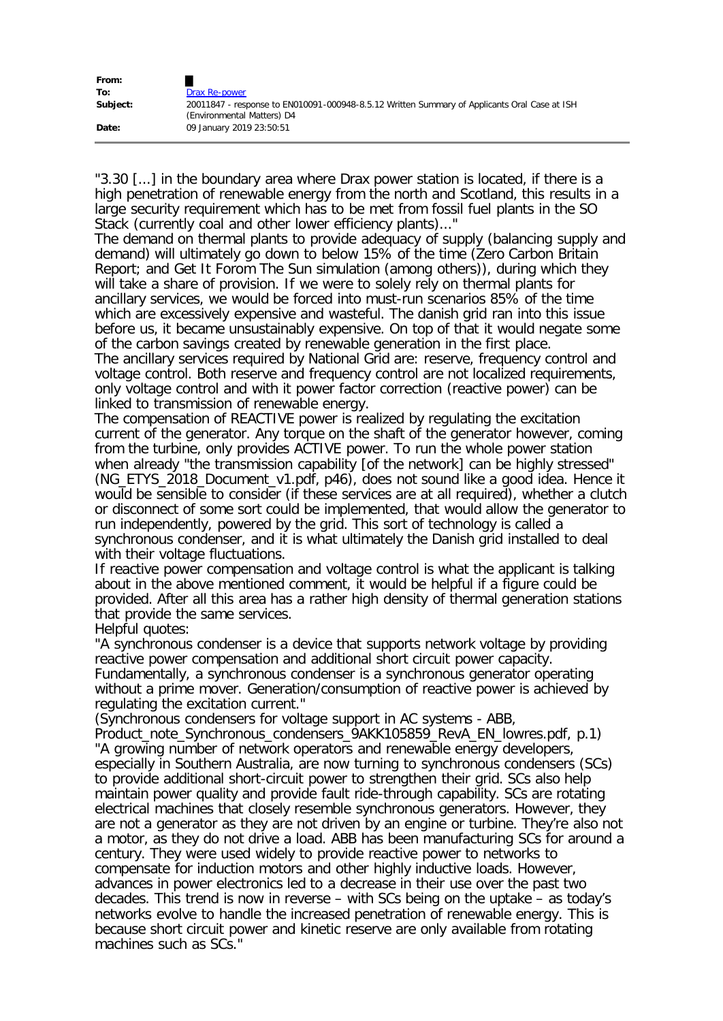| From:    |                                                                                                                            |
|----------|----------------------------------------------------------------------------------------------------------------------------|
| To:      | Drax Re-power                                                                                                              |
| Subject: | 20011847 - response to EN010091-000948-8.5.12 Written Summary of Applicants Oral Case at ISH<br>(Environmental Matters) D4 |
| Date:    | 09 January 2019 23:50:51                                                                                                   |

"3.30 [...] in the boundary area where Drax power station is located, if there is a high penetration of renewable energy from the north and Scotland, this results in a large security requirement which has to be met from fossil fuel plants in the SO Stack (currently coal and other lower efficiency plants)..."

The demand on thermal plants to provide adequacy of supply (balancing supply and demand) will ultimately go down to below 15% of the time (Zero Carbon Britain Report; and Get It Forom The Sun simulation (among others)), during which they will take a share of provision. If we were to solely rely on thermal plants for ancillary services, we would be forced into must-run scenarios 85% of the time which are excessively expensive and wasteful. The danish grid ran into this issue before us, it became unsustainably expensive. On top of that it would negate some of the carbon savings created by renewable generation in the first place.

The ancillary services required by National Grid are: reserve, frequency control and voltage control. Both reserve and frequency control are not localized requirements, only voltage control and with it power factor correction (reactive power) can be linked to transmission of renewable energy.

The compensation of REACTIVE power is realized by regulating the excitation current of the generator. Any torque on the shaft of the generator however, coming from the turbine, only provides ACTIVE power. To run the whole power station when already "the transmission capability [of the network] can be highly stressed" (NG\_ETYS\_2018\_Document\_v1.pdf, p46), does not sound like a good idea. Hence it would be sensible to consider (if these services are at all required), whether a clutch or disconnect of some sort could be implemented, that would allow the generator to run independently, powered by the grid. This sort of technology is called a synchronous condenser, and it is what ultimately the Danish grid installed to deal with their voltage fluctuations.

If reactive power compensation and voltage control is what the applicant is talking about in the above mentioned comment, it would be helpful if a figure could be provided. After all this area has a rather high density of thermal generation stations that provide the same services.

Helpful quotes:

"A synchronous condenser is a device that supports network voltage by providing reactive power compensation and additional short circuit power capacity. Fundamentally, a synchronous condenser is a synchronous generator operating without a prime mover. Generation/consumption of reactive power is achieved by regulating the excitation current."

(Synchronous condensers for voltage support in AC systems - ABB,

Product\_note\_Synchronous\_condensers\_9AKK105859\_RevA\_EN\_lowres.pdf, p.1) "A growing number of network operators and renewable energy developers, especially in Southern Australia, are now turning to synchronous condensers (SCs) to provide additional short-circuit power to strengthen their grid. SCs also help maintain power quality and provide fault ride-through capability. SCs are rotating electrical machines that closely resemble synchronous generators. However, they are not a generator as they are not driven by an engine or turbine. They're also not a motor, as they do not drive a load. ABB has been manufacturing SCs for around a century. They were used widely to provide reactive power to networks to compensate for induction motors and other highly inductive loads. However, advances in power electronics led to a decrease in their use over the past two decades. This trend is now in reverse – with SCs being on the uptake – as today's networks evolve to handle the increased penetration of renewable energy. This is because short circuit power and kinetic reserve are only available from rotating machines such as SCs."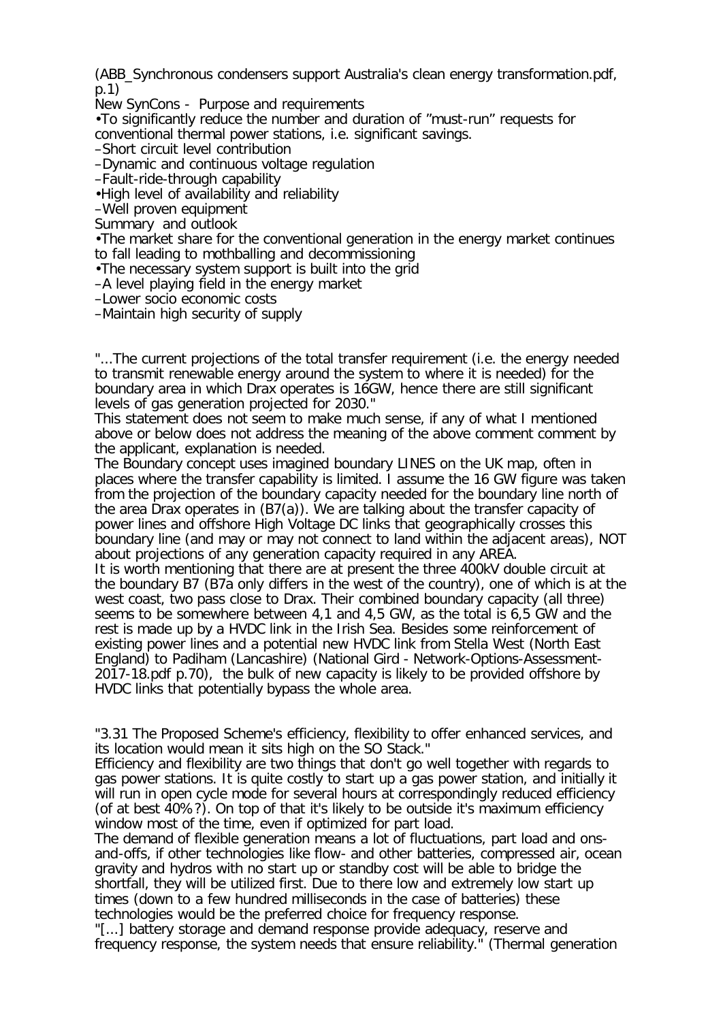(ABB\_Synchronous condensers support Australia's clean energy transformation.pdf, p.1)

New SynCons - Purpose and requirements

•To significantly reduce the number and duration of "must-run" requests for conventional thermal power stations, i.e. significant savings.

–Short circuit level contribution

–Dynamic and continuous voltage regulation

–Fault-ride-through capability

•High level of availability and reliability

–Well proven equipment

Summary and outlook

•The market share for the conventional generation in the energy market continues to fall leading to mothballing and decommissioning

•The necessary system support is built into the grid

–A level playing field in the energy market

–Lower socio economic costs

–Maintain high security of supply

"...The current projections of the total transfer requirement (i.e. the energy needed to transmit renewable energy around the system to where it is needed) for the boundary area in which Drax operates is 16GW, hence there are still significant levels of gas generation projected for 2030."

This statement does not seem to make much sense, if any of what I mentioned above or below does not address the meaning of the above comment comment by the applicant, explanation is needed.

The Boundary concept uses imagined boundary LINES on the UK map, often in places where the transfer capability is limited. I assume the 16 GW figure was taken from the projection of the boundary capacity needed for the boundary line north of the area Drax operates in (B7(a)). We are talking about the transfer capacity of power lines and offshore High Voltage DC links that geographically crosses this boundary line (and may or may not connect to land within the adjacent areas), NOT about projections of any generation capacity required in any AREA.

It is worth mentioning that there are at present the three 400kV double circuit at the boundary B7 (B7a only differs in the west of the country), one of which is at the west coast, two pass close to Drax. Their combined boundary capacity (all three) seems to be somewhere between 4,1 and 4,5 GW, as the total is 6,5 GW and the rest is made up by a HVDC link in the Irish Sea. Besides some reinforcement of existing power lines and a potential new HVDC link from Stella West (North East England) to Padiham (Lancashire) (National Gird - Network-Options-Assessment-2017-18.pdf p.70), the bulk of new capacity is likely to be provided offshore by HVDC links that potentially bypass the whole area.

"3.31 The Proposed Scheme's efficiency, flexibility to offer enhanced services, and its location would mean it sits high on the SO Stack."

Efficiency and flexibility are two things that don't go well together with regards to gas power stations. It is quite costly to start up a gas power station, and initially it will run in open cycle mode for several hours at correspondingly reduced efficiency (of at best 40%?). On top of that it's likely to be outside it's maximum efficiency window most of the time, even if optimized for part load.

The demand of flexible generation means a lot of fluctuations, part load and onsand-offs, if other technologies like flow- and other batteries, compressed air, ocean gravity and hydros with no start up or standby cost will be able to bridge the shortfall, they will be utilized first. Due to there low and extremely low start up times (down to a few hundred milliseconds in the case of batteries) these technologies would be the preferred choice for frequency response.

"[...] battery storage and demand response provide adequacy, reserve and frequency response, the system needs that ensure reliability." (Thermal generation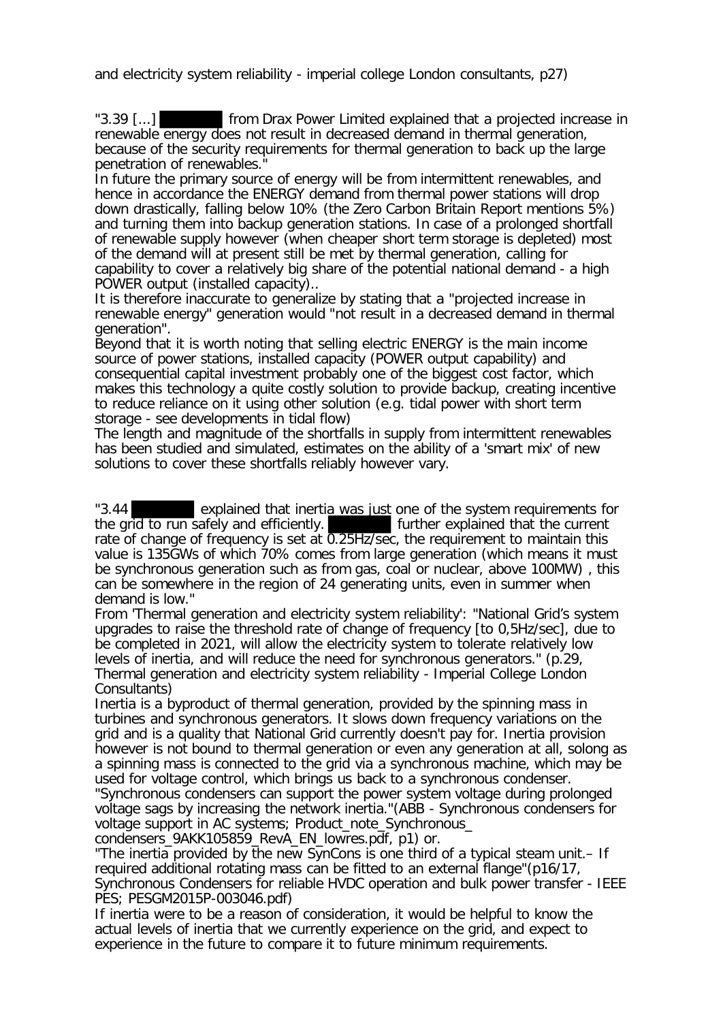and electricity system reliability - imperial college London consultants, p27)

"3.39 [...] from Drax Power Limited explained that a projected increase in renewable energy does not result in decreased demand in thermal generation, because of the security requirements for thermal generation to back up the large penetration of renewables."

In future the primary source of energy will be from intermittent renewables, and hence in accordance the ENERGY demand from thermal power stations will drop down drastically, falling below 10% (the Zero Carbon Britain Report mentions 5%) and turning them into backup generation stations. In case of a prolonged shortfall of renewable supply however (when cheaper short term storage is depleted) most of the demand will at present still be met by thermal generation, calling for capability to cover a relatively big share of the potential national demand - a high POWER output (installed capacity)..

It is therefore inaccurate to generalize by stating that a "projected increase in renewable energy" generation would "not result in a decreased demand in thermal generation".

Beyond that it is worth noting that selling electric ENERGY is the main income source of power stations, installed capacity (POWER output capability) and consequential capital investment probably one of the biggest cost factor, which makes this technology a quite costly solution to provide backup, creating incentive to reduce reliance on it using other solution (e.g. tidal power with short term storage - see developments in tidal flow)

The length and magnitude of the shortfalls in supply from intermittent renewables has been studied and simulated, estimates on the ability of a 'smart mix' of new solutions to cover these shortfalls reliably however vary.

"3.44 explained that inertia was just one of the system requirements for the grid to run safely and efficiently. The further explained that the current rate of change of frequency is set at 0.25Hz/sec, the requirement to maintain this value is 135GWs of which 70% comes from large generation (which means it must be synchronous generation such as from gas, coal or nuclear, above 100MW) , this can be somewhere in the region of 24 generating units, even in summer when demand is low."

From 'Thermal generation and electricity system reliability': "National Grid's system upgrades to raise the threshold rate of change of frequency [to 0,5Hz/sec], due to be completed in 2021, will allow the electricity system to tolerate relatively low levels of inertia, and will reduce the need for synchronous generators." (p.29, Thermal generation and electricity system reliability - Imperial College London Consultants)

Inertia is a byproduct of thermal generation, provided by the spinning mass in turbines and synchronous generators. It slows down frequency variations on the grid and is a quality that National Grid currently doesn't pay for. Inertia provision however is not bound to thermal generation or even any generation at all, solong as a spinning mass is connected to the grid via a synchronous machine, which may be used for voltage control, which brings us back to a synchronous condenser.

"Synchronous condensers can support the power system voltage during prolonged voltage sags by increasing the network inertia."(ABB - Synchronous condensers for voltage support in AC systems; Product\_note\_Synchronous\_

condensers\_9AKK105859\_RevA\_EN\_lowres.pdf, p1) or.

"The inertia provided by the new SynCons is one third of a typical steam unit.– If required additional rotating mass can be fitted to an external flange"(p16/17, Synchronous Condensers for reliable HVDC operation and bulk power transfer - IEEE PES; PESGM2015P-003046.pdf)

If inertia were to be a reason of consideration, it would be helpful to know the actual levels of inertia that we currently experience on the grid, and expect to experience in the future to compare it to future minimum requirements.